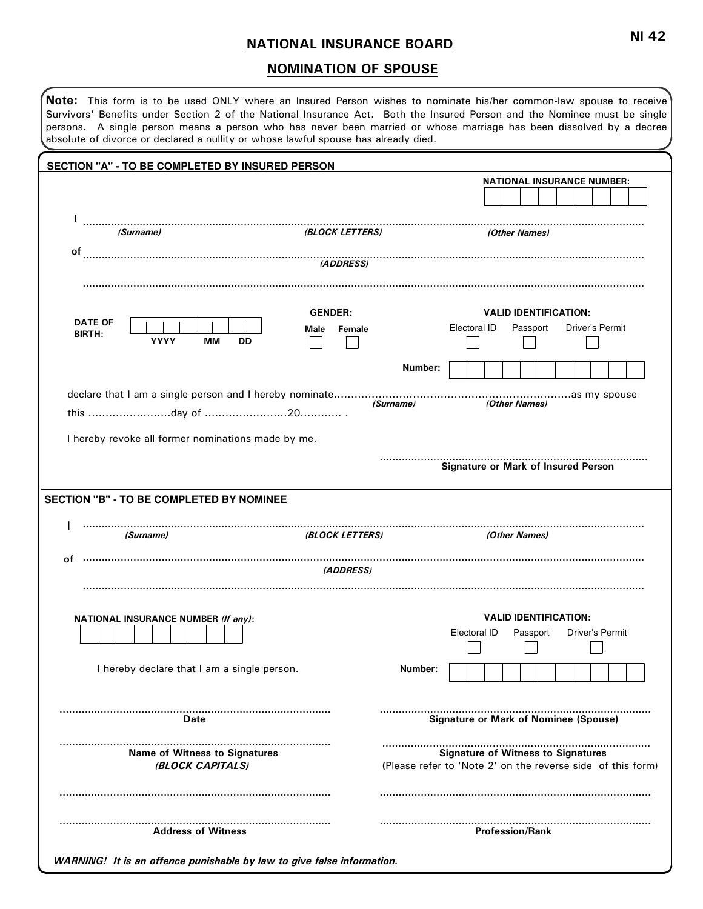## NATIONAL INSURANCE BOARD

## NOMINATION OF SPOUSE

| SECTION "A" - TO BE COMPLETED BY INSURED PERSON                                                                   |                               |           |                                                                                                          |
|-------------------------------------------------------------------------------------------------------------------|-------------------------------|-----------|----------------------------------------------------------------------------------------------------------|
|                                                                                                                   |                               |           | <b>NATIONAL INSURANCE NUMBER:</b>                                                                        |
| L<br>(Surname)                                                                                                    | <b>(BLOCK LETTERS)</b>        |           | (Other Names)                                                                                            |
| οf                                                                                                                |                               |           |                                                                                                          |
| <b>DATE OF</b><br><b>BIRTH:</b><br><b>YYYY</b><br>MМ<br>DD                                                        | <b>GENDER:</b><br>Male Female |           | <b>VALID IDENTIFICATION:</b><br>Electoral ID<br>Driver's Permit<br>Passport                              |
|                                                                                                                   |                               | Number:   |                                                                                                          |
|                                                                                                                   |                               | (Surname) | (Other Names)                                                                                            |
|                                                                                                                   |                               |           | <b>Signature or Mark of Insured Person</b>                                                               |
| (Surname)                                                                                                         | <b>(BLOCK LETTERS)</b>        |           | (Other Names)                                                                                            |
|                                                                                                                   | (ADDRESS)                     |           |                                                                                                          |
| <b>NATIONAL INSURANCE NUMBER (If any):</b>                                                                        |                               |           | <b>VALID IDENTIFICATION:</b><br>Electoral ID<br>Passport<br>Driver's Permit                              |
| I hereby declare that I am a single person.                                                                       |                               | Number:   |                                                                                                          |
| Date                                                                                                              |                               |           | <b>Signature or Mark of Nominee (Spouse)</b>                                                             |
| <b>SECTION "B" - TO BE COMPLETED BY NOMINEE</b><br>οf<br><b>Name of Witness to Signatures</b><br>(BLOCK CAPITALS) |                               | .         | <b>Signature of Witness to Signatures</b><br>(Please refer to 'Note 2' on the reverse side of this form) |

WARNING! It is an offence punishable by law to give false information.